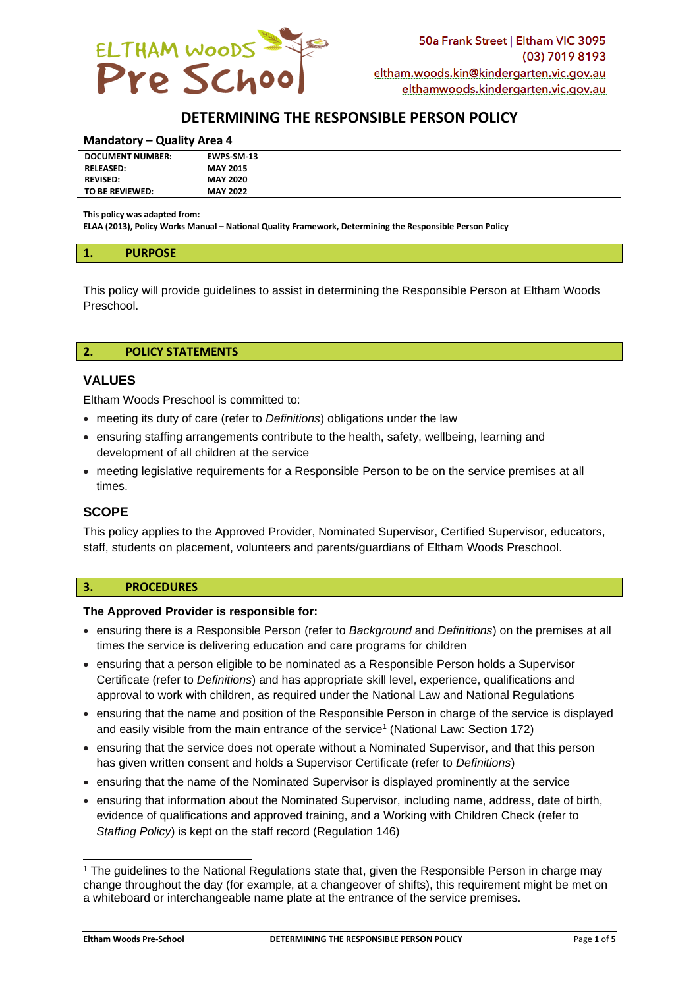

# **DETERMINING THE RESPONSIBLE PERSON POLICY**

#### **Mandatory – Quality Area 4**

| <b>DOCUMENT NUMBER:</b> | EWPS-SM-13      |  |
|-------------------------|-----------------|--|
| <b>RELEASED:</b>        | <b>MAY 2015</b> |  |
| <b>REVISED:</b>         | <b>MAY 2020</b> |  |
| TO BE REVIEWED:         | <b>MAY 2022</b> |  |

**This policy was adapted from:**

**ELAA (2013), Policy Works Manual – National Quality Framework, Determining the Responsible Person Policy**

#### **1. PURPOSE**

This policy will provide guidelines to assist in determining the Responsible Person at Eltham Woods Preschool.

#### **2. POLICY STATEMENTS**

## **VALUES**

Eltham Woods Preschool is committed to:

- meeting its duty of care (refer to *Definitions*) obligations under the law
- ensuring staffing arrangements contribute to the health, safety, wellbeing, learning and development of all children at the service
- meeting legislative requirements for a Responsible Person to be on the service premises at all times.

## **SCOPE**

This policy applies to the Approved Provider, Nominated Supervisor, Certified Supervisor, educators, staff, students on placement, volunteers and parents/guardians of Eltham Woods Preschool.

#### **3. PROCEDURES**

#### **The Approved Provider is responsible for:**

- ensuring there is a Responsible Person (refer to *Background* and *Definitions*) on the premises at all times the service is delivering education and care programs for children
- ensuring that a person eligible to be nominated as a Responsible Person holds a Supervisor Certificate (refer to *Definitions*) and has appropriate skill level, experience, qualifications and approval to work with children, as required under the National Law and National Regulations
- ensuring that the name and position of the Responsible Person in charge of the service is displayed and easily visible from the main entrance of the service<sup>1</sup> (National Law: Section 172)
- ensuring that the service does not operate without a Nominated Supervisor, and that this person has given written consent and holds a Supervisor Certificate (refer to *Definitions*)
- ensuring that the name of the Nominated Supervisor is displayed prominently at the service
- ensuring that information about the Nominated Supervisor, including name, address, date of birth, evidence of qualifications and approved training, and a Working with Children Check (refer to *Staffing Policy*) is kept on the staff record (Regulation 146)

<sup>&</sup>lt;sup>1</sup> The guidelines to the National Regulations state that, given the Responsible Person in charge may change throughout the day (for example, at a changeover of shifts), this requirement might be met on a whiteboard or interchangeable name plate at the entrance of the service premises.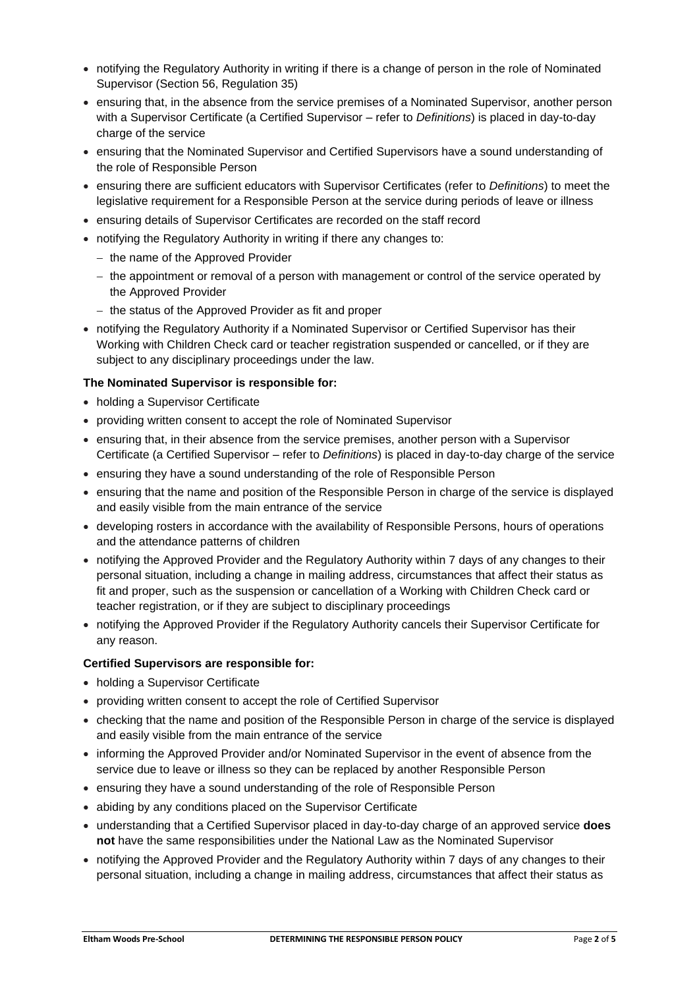- notifying the Regulatory Authority in writing if there is a change of person in the role of Nominated Supervisor (Section 56, Regulation 35)
- ensuring that, in the absence from the service premises of a Nominated Supervisor, another person with a Supervisor Certificate (a Certified Supervisor – refer to *Definitions*) is placed in day-to-day charge of the service
- ensuring that the Nominated Supervisor and Certified Supervisors have a sound understanding of the role of Responsible Person
- ensuring there are sufficient educators with Supervisor Certificates (refer to *Definitions*) to meet the legislative requirement for a Responsible Person at the service during periods of leave or illness
- ensuring details of Supervisor Certificates are recorded on the staff record
- notifying the Regulatory Authority in writing if there any changes to:
	- − the name of the Approved Provider
	- − the appointment or removal of a person with management or control of the service operated by the Approved Provider
	- − the status of the Approved Provider as fit and proper
- notifying the Regulatory Authority if a Nominated Supervisor or Certified Supervisor has their Working with Children Check card or teacher registration suspended or cancelled, or if they are subject to any disciplinary proceedings under the law.

### **The Nominated Supervisor is responsible for:**

- holding a Supervisor Certificate
- providing written consent to accept the role of Nominated Supervisor
- ensuring that, in their absence from the service premises, another person with a Supervisor Certificate (a Certified Supervisor – refer to *Definitions*) is placed in day-to-day charge of the service
- ensuring they have a sound understanding of the role of Responsible Person
- ensuring that the name and position of the Responsible Person in charge of the service is displayed and easily visible from the main entrance of the service
- developing rosters in accordance with the availability of Responsible Persons, hours of operations and the attendance patterns of children
- notifying the Approved Provider and the Regulatory Authority within 7 days of any changes to their personal situation, including a change in mailing address, circumstances that affect their status as fit and proper, such as the suspension or cancellation of a Working with Children Check card or teacher registration, or if they are subject to disciplinary proceedings
- notifying the Approved Provider if the Regulatory Authority cancels their Supervisor Certificate for any reason.

#### **Certified Supervisors are responsible for:**

- holding a Supervisor Certificate
- providing written consent to accept the role of Certified Supervisor
- checking that the name and position of the Responsible Person in charge of the service is displayed and easily visible from the main entrance of the service
- informing the Approved Provider and/or Nominated Supervisor in the event of absence from the service due to leave or illness so they can be replaced by another Responsible Person
- ensuring they have a sound understanding of the role of Responsible Person
- abiding by any conditions placed on the Supervisor Certificate
- understanding that a Certified Supervisor placed in day-to-day charge of an approved service **does not** have the same responsibilities under the National Law as the Nominated Supervisor
- notifying the Approved Provider and the Regulatory Authority within 7 days of any changes to their personal situation, including a change in mailing address, circumstances that affect their status as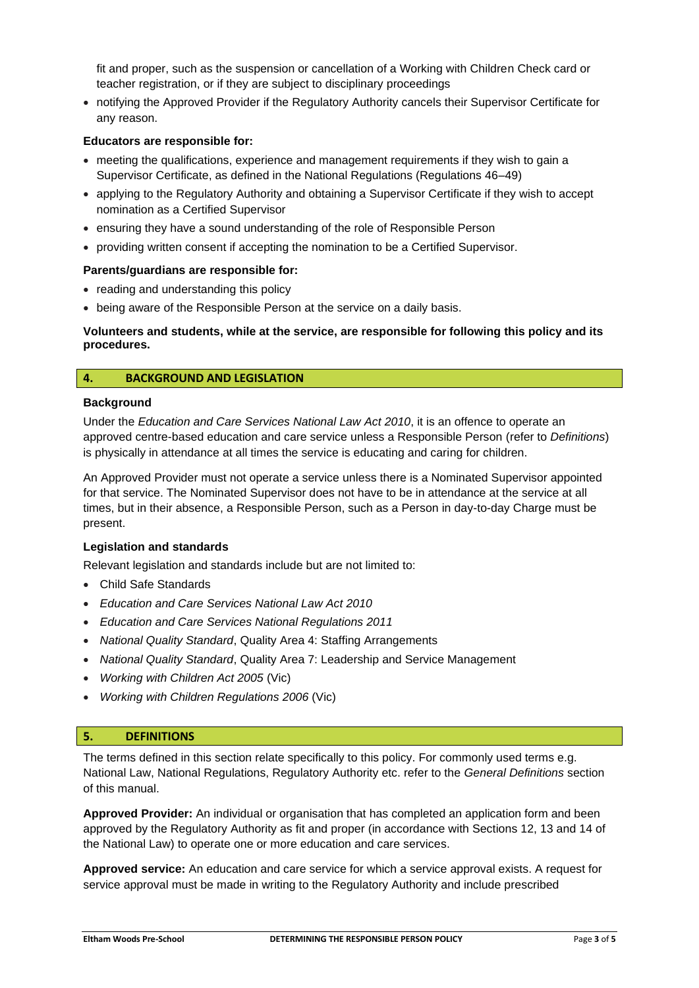fit and proper, such as the suspension or cancellation of a Working with Children Check card or teacher registration, or if they are subject to disciplinary proceedings

• notifying the Approved Provider if the Regulatory Authority cancels their Supervisor Certificate for any reason.

#### **Educators are responsible for:**

- meeting the qualifications, experience and management requirements if they wish to gain a Supervisor Certificate, as defined in the National Regulations (Regulations 46–49)
- applying to the Regulatory Authority and obtaining a Supervisor Certificate if they wish to accept nomination as a Certified Supervisor
- ensuring they have a sound understanding of the role of Responsible Person
- providing written consent if accepting the nomination to be a Certified Supervisor.

#### **Parents/guardians are responsible for:**

- reading and understanding this policy
- being aware of the Responsible Person at the service on a daily basis.

### **Volunteers and students, while at the service, are responsible for following this policy and its procedures.**

### **4. BACKGROUND AND LEGISLATION**

#### **Background**

Under the *Education and Care Services National Law Act 2010*, it is an offence to operate an approved centre-based education and care service unless a Responsible Person (refer to *Definitions*) is physically in attendance at all times the service is educating and caring for children.

An Approved Provider must not operate a service unless there is a Nominated Supervisor appointed for that service. The Nominated Supervisor does not have to be in attendance at the service at all times, but in their absence, a Responsible Person, such as a Person in day-to-day Charge must be present.

#### **Legislation and standards**

Relevant legislation and standards include but are not limited to:

- Child Safe Standards
- *Education and Care Services National Law Act 2010*
- *Education and Care Services National Regulations 2011*
- *National Quality Standard*, Quality Area 4: Staffing Arrangements
- *National Quality Standard*, Quality Area 7: Leadership and Service Management
- *Working with Children Act 2005* (Vic)
- *Working with Children Regulations 2006* (Vic)

#### **5. DEFINITIONS**

The terms defined in this section relate specifically to this policy. For commonly used terms e.g. National Law, National Regulations, Regulatory Authority etc. refer to the *General Definitions* section of this manual.

**Approved Provider:** An individual or organisation that has completed an application form and been approved by the Regulatory Authority as fit and proper (in accordance with Sections 12, 13 and 14 of the National Law) to operate one or more education and care services.

**Approved service:** An education and care service for which a service approval exists. A request for service approval must be made in writing to the Regulatory Authority and include prescribed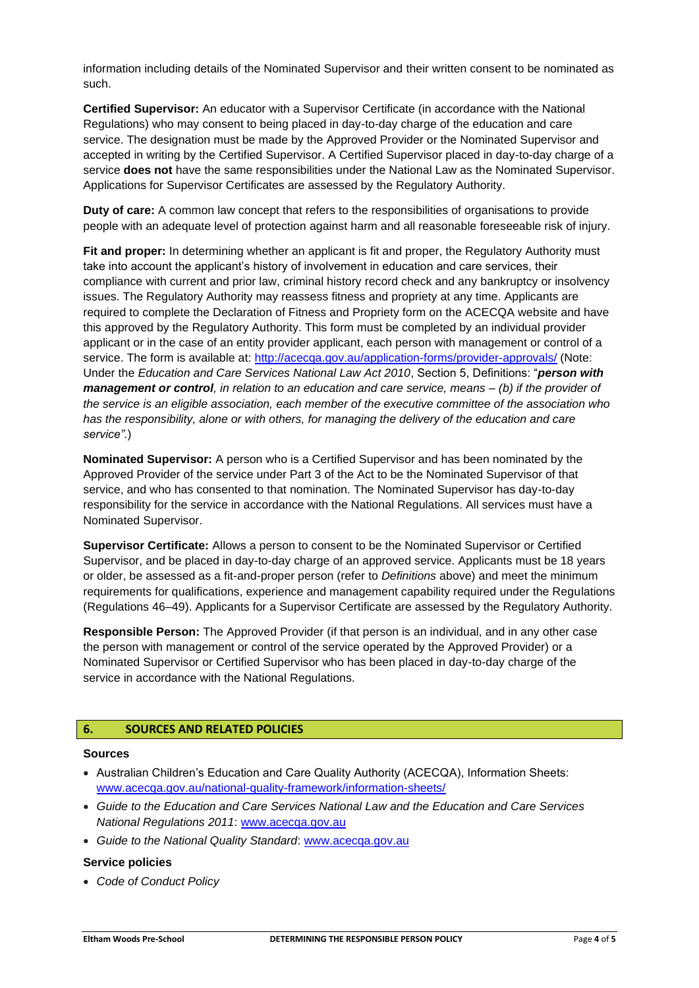information including details of the Nominated Supervisor and their written consent to be nominated as such.

**Certified Supervisor:** An educator with a Supervisor Certificate (in accordance with the National Regulations) who may consent to being placed in day-to-day charge of the education and care service. The designation must be made by the Approved Provider or the Nominated Supervisor and accepted in writing by the Certified Supervisor. A Certified Supervisor placed in day-to-day charge of a service **does not** have the same responsibilities under the National Law as the Nominated Supervisor. Applications for Supervisor Certificates are assessed by the Regulatory Authority.

**Duty of care:** A common law concept that refers to the responsibilities of organisations to provide people with an adequate level of protection against harm and all reasonable foreseeable risk of injury.

**Fit and proper:** In determining whether an applicant is fit and proper, the Regulatory Authority must take into account the applicant's history of involvement in education and care services, their compliance with current and prior law, criminal history record check and any bankruptcy or insolvency issues. The Regulatory Authority may reassess fitness and propriety at any time. Applicants are required to complete the Declaration of Fitness and Propriety form on the ACECQA website and have this approved by the Regulatory Authority. This form must be completed by an individual provider applicant or in the case of an entity provider applicant, each person with management or control of a service. The form is available at:<http://acecqa.gov.au/application-forms/provider-approvals/> (Note: Under the *Education and Care Services National Law Act 2010*, Section 5, Definitions: "*person with management or control, in relation to an education and care service, means – (b) if the provider of the service is an eligible association, each member of the executive committee of the association who has the responsibility, alone or with others, for managing the delivery of the education and care service".*)

**Nominated Supervisor:** A person who is a Certified Supervisor and has been nominated by the Approved Provider of the service under Part 3 of the Act to be the Nominated Supervisor of that service, and who has consented to that nomination. The Nominated Supervisor has day-to-day responsibility for the service in accordance with the National Regulations. All services must have a Nominated Supervisor.

**Supervisor Certificate:** Allows a person to consent to be the Nominated Supervisor or Certified Supervisor, and be placed in day-to-day charge of an approved service. Applicants must be 18 years or older, be assessed as a fit-and-proper person (refer to *Definitions* above) and meet the minimum requirements for qualifications, experience and management capability required under the Regulations (Regulations 46–49). Applicants for a Supervisor Certificate are assessed by the Regulatory Authority.

**Responsible Person:** The Approved Provider (if that person is an individual, and in any other case the person with management or control of the service operated by the Approved Provider) or a Nominated Supervisor or Certified Supervisor who has been placed in day-to-day charge of the service in accordance with the National Regulations.

## **6. SOURCES AND RELATED POLICIES**

#### **Sources**

- Australian Children's Education and Care Quality Authority (ACECQA), Information Sheets: [www.acecqa.gov.au/national-quality-framework/information-sheets/](http://www.acecqa.gov.au/national-quality-framework/information-sheets/)
- *Guide to the Education and Care Services National Law and the Education and Care Services National Regulations 2011*: [www.acecqa.gov.au](http://www.acecqa.gov.au/)
- *Guide to the National Quality Standard*: [www.acecqa.gov.au](http://www.acecqa.gov.au/)

#### **Service policies**

• *Code of Conduct Policy*